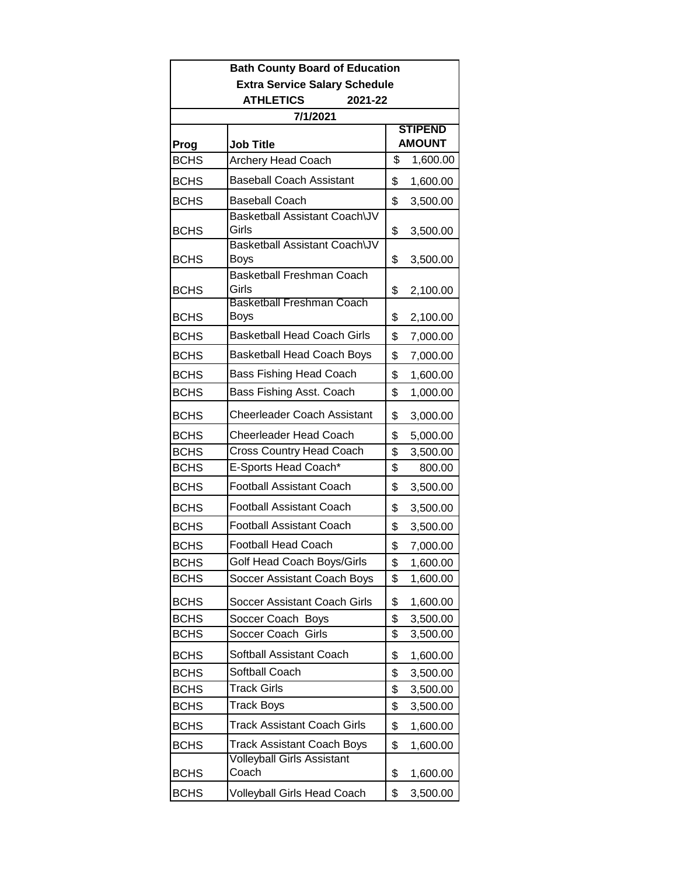| <b>Extra Service Salary Schedule</b><br><b>ATHLETICS</b><br>2021-22<br>7/1/2021<br><b>STIPEND</b><br><b>AMOUNT</b><br>Prog<br>Job Title<br>\$<br>1,600.00<br><b>BCHS</b><br><b>Archery Head Coach</b> |
|-------------------------------------------------------------------------------------------------------------------------------------------------------------------------------------------------------|
|                                                                                                                                                                                                       |
|                                                                                                                                                                                                       |
|                                                                                                                                                                                                       |
|                                                                                                                                                                                                       |
|                                                                                                                                                                                                       |
| <b>Baseball Coach Assistant</b><br><b>BCHS</b><br>\$<br>1,600.00                                                                                                                                      |
| <b>Baseball Coach</b><br>\$<br><b>BCHS</b><br>3,500.00                                                                                                                                                |
| Basketball Assistant Coach\JV<br>Girls<br><b>BCHS</b><br>\$<br>3,500.00                                                                                                                               |
| Basketball Assistant Coach\JV<br><b>BCHS</b><br>Boys<br>\$<br>3,500.00                                                                                                                                |
| <b>Basketball Freshman Coach</b><br>Girls<br>\$<br><b>BCHS</b><br>2,100.00                                                                                                                            |
| <b>Basketball Freshman Coach</b><br>\$<br><b>BCHS</b><br>Boys<br>2,100.00                                                                                                                             |
| <b>Basketball Head Coach Girls</b><br><b>BCHS</b><br>\$<br>7,000.00                                                                                                                                   |
| <b>BCHS</b><br><b>Basketball Head Coach Boys</b><br>\$<br>7,000.00                                                                                                                                    |
| <b>Bass Fishing Head Coach</b><br>\$<br><b>BCHS</b><br>1,600.00                                                                                                                                       |
| <b>BCHS</b><br>Bass Fishing Asst. Coach<br>\$<br>1,000.00                                                                                                                                             |
| <b>Cheerleader Coach Assistant</b><br>\$<br><b>BCHS</b><br>3,000.00                                                                                                                                   |
| <b>Cheerleader Head Coach</b><br><b>BCHS</b><br>\$<br>5,000.00                                                                                                                                        |
| <b>Cross Country Head Coach</b><br><b>BCHS</b><br>\$<br>3,500.00                                                                                                                                      |
| E-Sports Head Coach*<br><b>BCHS</b><br>\$<br>800.00                                                                                                                                                   |
| <b>Football Assistant Coach</b><br><b>BCHS</b><br>\$<br>3,500.00                                                                                                                                      |
| <b>Football Assistant Coach</b><br>\$<br><b>BCHS</b><br>3,500.00                                                                                                                                      |
| <b>BCHS</b><br><b>Football Assistant Coach</b><br>\$<br>3,500.00                                                                                                                                      |
| <b>Football Head Coach</b><br><b>BCHS</b><br>\$<br>7,000.00                                                                                                                                           |
| Golf Head Coach Boys/Girls<br>\$<br><b>BCHS</b><br>1,600.00                                                                                                                                           |
| <b>BCHS</b><br>\$<br>1,600.00<br>Soccer Assistant Coach Boys                                                                                                                                          |
| <b>BCHS</b><br>Soccer Assistant Coach Girls<br>\$<br>1,600.00                                                                                                                                         |
| <b>BCHS</b><br>\$<br>Soccer Coach Boys<br>3,500.00                                                                                                                                                    |
| <b>BCHS</b><br>\$<br>3,500.00<br>Soccer Coach<br>Girls                                                                                                                                                |
| Softball Assistant Coach<br>\$<br><b>BCHS</b><br>1,600.00                                                                                                                                             |
| Softball Coach<br><b>BCHS</b><br>\$<br>3,500.00                                                                                                                                                       |
| <b>Track Girls</b><br><b>BCHS</b><br>\$<br>3,500.00                                                                                                                                                   |
| <b>Track Boys</b><br>\$<br><b>BCHS</b><br>3,500.00                                                                                                                                                    |
| <b>Track Assistant Coach Girls</b><br><b>BCHS</b><br>\$<br>1,600.00                                                                                                                                   |
| <b>BCHS</b><br><b>Track Assistant Coach Boys</b><br>\$<br>1,600.00                                                                                                                                    |
| <b>Volleyball Girls Assistant</b><br>Coach<br><b>BCHS</b><br>\$<br>1,600.00                                                                                                                           |
| \$<br><b>BCHS</b><br>Volleyball Girls Head Coach<br>3,500.00                                                                                                                                          |